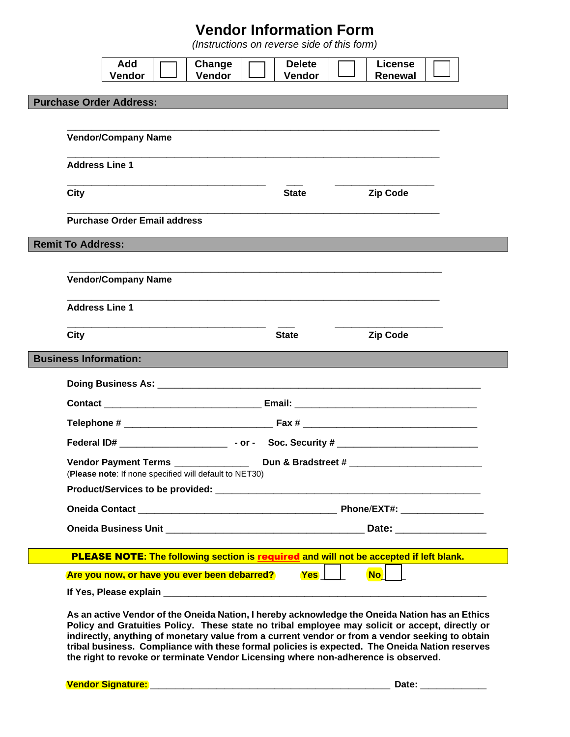# **Vendor Information Form**

*(Instructions on reverse side of this form)*

|                                | Add<br>Vendor                                                                         | Change<br>Vendor | <b>Delete</b><br>Vendor | <b>License</b><br><b>Renewal</b>                                                                                                                                                                                                                                                                                                                                                                                                                                                             |  |
|--------------------------------|---------------------------------------------------------------------------------------|------------------|-------------------------|----------------------------------------------------------------------------------------------------------------------------------------------------------------------------------------------------------------------------------------------------------------------------------------------------------------------------------------------------------------------------------------------------------------------------------------------------------------------------------------------|--|
| <b>Purchase Order Address:</b> |                                                                                       |                  |                         |                                                                                                                                                                                                                                                                                                                                                                                                                                                                                              |  |
|                                |                                                                                       |                  |                         |                                                                                                                                                                                                                                                                                                                                                                                                                                                                                              |  |
|                                | <b>Vendor/Company Name</b>                                                            |                  |                         |                                                                                                                                                                                                                                                                                                                                                                                                                                                                                              |  |
| <b>Address Line 1</b>          |                                                                                       |                  |                         |                                                                                                                                                                                                                                                                                                                                                                                                                                                                                              |  |
| <b>City</b>                    |                                                                                       |                  | <b>State</b>            | <b>Zip Code</b>                                                                                                                                                                                                                                                                                                                                                                                                                                                                              |  |
|                                | <b>Purchase Order Email address</b>                                                   |                  |                         |                                                                                                                                                                                                                                                                                                                                                                                                                                                                                              |  |
| <b>Remit To Address:</b>       |                                                                                       |                  |                         |                                                                                                                                                                                                                                                                                                                                                                                                                                                                                              |  |
|                                | <b>Vendor/Company Name</b>                                                            |                  |                         |                                                                                                                                                                                                                                                                                                                                                                                                                                                                                              |  |
| <b>Address Line 1</b>          |                                                                                       |                  |                         |                                                                                                                                                                                                                                                                                                                                                                                                                                                                                              |  |
| <b>City</b>                    |                                                                                       |                  | <b>State</b>            | <b>Zip Code</b>                                                                                                                                                                                                                                                                                                                                                                                                                                                                              |  |
| <b>Business Information:</b>   |                                                                                       |                  |                         |                                                                                                                                                                                                                                                                                                                                                                                                                                                                                              |  |
|                                |                                                                                       |                  |                         |                                                                                                                                                                                                                                                                                                                                                                                                                                                                                              |  |
|                                |                                                                                       |                  |                         | Contact <b>Example 2018 Email:</b> Email: <b>Email: Email: Email: Email: Email: Email: Email: Email: Email: Email: Email: Email: Email: Email: Email: Email: Email: Email: Email: Email: Em</b>                                                                                                                                                                                                                                                                                              |  |
|                                |                                                                                       |                  |                         |                                                                                                                                                                                                                                                                                                                                                                                                                                                                                              |  |
|                                |                                                                                       |                  |                         |                                                                                                                                                                                                                                                                                                                                                                                                                                                                                              |  |
|                                | <b>Vendor Payment Terms</b><br>(Please note: If none specified will default to NET30) |                  |                         |                                                                                                                                                                                                                                                                                                                                                                                                                                                                                              |  |
|                                |                                                                                       |                  |                         |                                                                                                                                                                                                                                                                                                                                                                                                                                                                                              |  |
|                                |                                                                                       |                  |                         |                                                                                                                                                                                                                                                                                                                                                                                                                                                                                              |  |
|                                |                                                                                       |                  |                         |                                                                                                                                                                                                                                                                                                                                                                                                                                                                                              |  |
|                                |                                                                                       |                  |                         | PLEASE NOTE: The following section is required and will not be accepted if left blank.                                                                                                                                                                                                                                                                                                                                                                                                       |  |
|                                | Are you now, or have you ever been debarred?                                          |                  | $Yes$                   | $\overline{\mathsf{No}}$ $\overline{\mathsf{I}}$                                                                                                                                                                                                                                                                                                                                                                                                                                             |  |
|                                |                                                                                       |                  |                         |                                                                                                                                                                                                                                                                                                                                                                                                                                                                                              |  |
|                                |                                                                                       |                  |                         | As an active Vendor of the Oneida Nation, I hereby acknowledge the Oneida Nation has an Ethics<br>Policy and Gratuities Policy. These state no tribal employee may solicit or accept, directly or<br>indirectly, anything of monetary value from a current vendor or from a vendor seeking to obtain<br>tribal business. Compliance with these formal policies is expected. The Oneida Nation reserves<br>the right to revoke or terminate Vendor Licensing where non-adherence is observed. |  |

**Vendor Signature: \_\_\_\_\_\_\_\_\_\_\_\_\_\_\_\_\_\_\_\_\_\_\_\_\_\_\_\_\_ Date: \_\_\_\_\_\_\_\_**